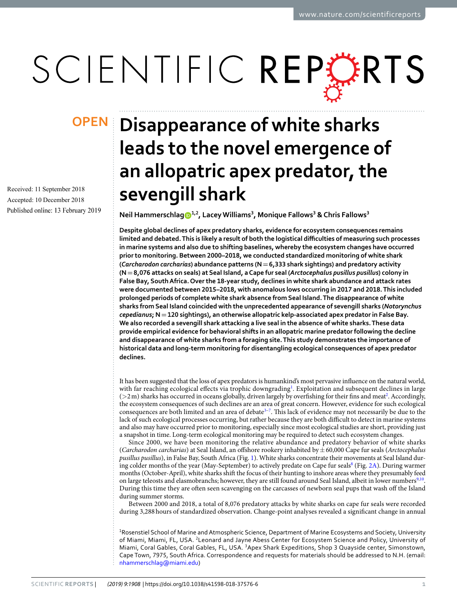# SCIENTIFIC REPERTS

Received: 11 September 2018 Accepted: 10 December 2018 Published online: 13 February 2019

## **Disappearance of white sharks OPENleads to the novel emergence of an allopatric apex predator, the sevengill shark**

**Neil Hammerschlag1,2, Lacey Williams<sup>3</sup> , Monique Fallows<sup>3</sup> & Chris Fallows<sup>3</sup>**

**Despite global declines of apex predatory sharks, evidence for ecosystem consequences remains limited and debated. This is likely a result of both the logistical difficulties of measuring such processes in marine systems and also due to shifting baselines, whereby the ecosystem changes have occurred prior to monitoring. Between 2000–2018, we conducted standardized monitoring of white shark (***Carcharodon carcharias***) abundance patterns (N = 6,333 shark sightings) and predatory activity (N = 8,076 attacks on seals) at Seal Island, a Cape fur seal (***Arctocephalus pusillus pusillus***) colony in False Bay, South Africa. Over the 18-year study, declines in white shark abundance and attack rates were documented between 2015–2018, with anomalous lows occurring in 2017 and 2018. This included prolonged periods of complete white shark absence from Seal Island. The disappearance of white sharks from Seal Island coincided with the unprecedented appearance of sevengill sharks (***Notorynchus cepedianus***; N = 120 sightings), an otherwise allopatric kelp-associated apex predator in False Bay. We also recorded a sevengill shark attacking a live seal in the absence of white sharks. These data provide empirical evidence for behavioral shifts in an allopatric marine predator following the decline and disappearance of white sharks from a foraging site. This study demonstrates the importance of historical data and long-term monitoring for disentangling ecological consequences of apex predator declines.**

It has been suggested that the loss of apex predators is humankind's most pervasive influence on the natural world, with far reaching ecological effects via trophic downgrading<sup>[1](#page-4-0)</sup>. Exploitation and subsequent declines in large (>[2](#page-4-1)m) sharks has occurred in oceans globally, driven largely by overfishing for their fins and meat<sup>2</sup>. Accordingly, the ecosystem consequences of such declines are an area of great concern. However, evidence for such ecological consequences are both limited and an area of debate<sup>[3](#page-4-2)-7</sup>. This lack of evidence may not necessarily be due to the lack of such ecological processes occurring, but rather because they are both difficult to detect in marine systems and also may have occurred prior to monitoring, especially since most ecological studies are short, providing just a snapshot in time. Long-term ecological monitoring may be required to detect such ecosystem changes.

Since 2000, we have been monitoring the relative abundance and predatory behavior of white sharks (Carcharodon carcharias) at Seal Island, an offshore rookery inhabited by  $\pm 60,000$  Cape fur seals (Arctocephalus pusillus pusillus), in False Bay, South Africa (Fig. [1\)](#page-1-0). White sharks concentrate their movements at Seal Island dur-ing colder months of the year (May-September) to actively predate on Cape fur seals<sup>[8](#page-4-4)</sup> (Fig. [2A](#page-1-1)). During warmer months (October-April), white sharks shift the focus of their hunting to inshore areas where they presumably feed on large teleosts and elasmobranchs; however, they are still found around Seal Island, albeit in lower numbers<sup>[9,](#page-4-5)[10](#page-4-6)</sup>. During this time they are often seen scavenging on the carcasses of newborn seal pups that wash off the Island during summer storms.

Between 2000 and 2018, a total of 8,076 predatory attacks by white sharks on cape fur seals were recorded during 3,288 hours of standardized observation. Change-point analyses revealed a significant change in annual

<sup>1</sup>Rosenstiel School of Marine and Atmospheric Science, Department of Marine Ecosystems and Society, University of Miami, Miami, FL, USA. <sup>2</sup>Leonard and Jayne Abess Center for Ecosystem Science and Policy, University of Miami, Coral Gables, Coral Gables, FL, USA. <sup>3</sup>Apex Shark Expeditions, Shop 3 Quayside center, Simonstown, Cape Town, 7975, South Africa. Correspondence and requests for materials should be addressed to N.H. (email: [nhammerschlag@miami.edu](mailto:nhammerschlag@miami.edu))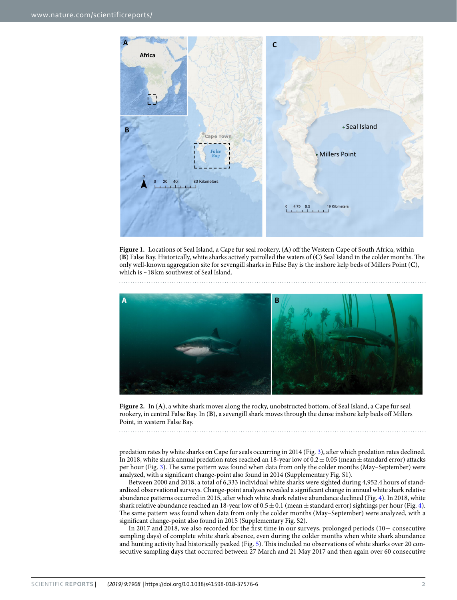

<span id="page-1-0"></span>**Figure 1.** Locations of Seal Island, a Cape fur seal rookery, (**A**) off the Western Cape of South Africa, within (**B**) False Bay. Historically, white sharks actively patrolled the waters of (**C**) Seal Island in the colder months. The only well-known aggregation site for sevengill sharks in False Bay is the inshore kelp beds of Millers Point (**C**), which is ~18 km southwest of Seal Island.



<span id="page-1-1"></span>**Figure 2.** In (**A**), a white shark moves along the rocky, unobstructed bottom, of Seal Island, a Cape fur seal rookery, in central False Bay. In (**B**), a sevengill shark moves through the dense inshore kelp beds off Millers Point, in western False Bay.

predation rates by white sharks on Cape fur seals occurring in 2014 (Fig. [3](#page-2-0)), after which predation rates declined. In 2018, white shark annual predation rates reached an 18-year low of  $0.2 \pm 0.05$  (mean  $\pm$  standard error) attacks per hour (Fig. [3\)](#page-2-0). The same pattern was found when data from only the colder months (May–September) were analyzed, with a significant change-point also found in 2014 (Supplementary Fig. S1).

Between 2000 and 2018, a total of 6,333 individual white sharks were sighted during 4,952.4 hours of standardized observational surveys. Change-point analyses revealed a significant change in annual white shark relative abundance patterns occurred in 2015, after which white shark relative abundance declined (Fig. [4\)](#page-2-1). In 2018, white shark relative abundance reached an 18-year low of  $0.5 \pm 0.1$  (mean  $\pm$  standard error) sightings per hour (Fig. [4](#page-2-1)). The same pattern was found when data from only the colder months (May–September) were analyzed, with a significant change-point also found in 2015 (Supplementary Fig. S2).

In 2017 and 2018, we also recorded for the first time in our surveys, prolonged periods (10+ consecutive sampling days) of complete white shark absence, even during the colder months when white shark abundance and hunting activity had historically peaked (Fig. [5](#page-2-2)). This included no observations of white sharks over 20 consecutive sampling days that occurred between 27 March and 21 May 2017 and then again over 60 consecutive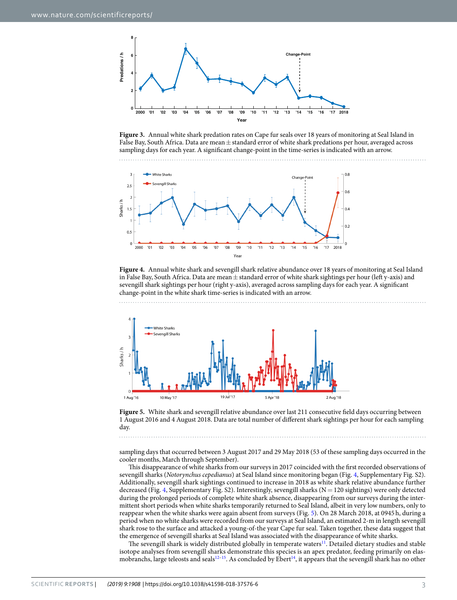

<span id="page-2-0"></span>**Figure 3.** Annual white shark predation rates on Cape fur seals over 18 years of monitoring at Seal Island in False Bay, South Africa. Data are mean ± standard error of white shark predations per hour, averaged across sampling days for each year. A significant change-point in the time-series is indicated with an arrow.



<span id="page-2-1"></span>**Figure 4.** Annual white shark and sevengill shark relative abundance over 18 years of monitoring at Seal Island in False Bay, South Africa. Data are mean  $\pm$  standard error of white shark sightings per hour (left y-axis) and sevengill shark sightings per hour (right y-axis), averaged across sampling days for each year. A significant change-point in the white shark time-series is indicated with an arrow.



<span id="page-2-2"></span>Figure 5. White shark and sevengill relative abundance over last 211 consecutive field days occurring between 1 August 2016 and 4 August 2018. Data are total number of different shark sightings per hour for each sampling day.

sampling days that occurred between 3 August 2017 and 29 May 2018 (53 of these sampling days occurred in the cooler months, March through September).

This disappearance of white sharks from our surveys in 2017 coincided with the first recorded observations of sevengill sharks (Notorynchus cepedianus) at Seal Island since monitoring began (Fig. [4](#page-2-1), Supplementary Fig. S2). Additionally, sevengill shark sightings continued to increase in 2018 as white shark relative abundance further decreased (Fig. [4](#page-2-1), Supplementary Fig. S2). Interestingly, sevengill sharks ( $N = 120$  sightings) were only detected during the prolonged periods of complete white shark absence, disappearing from our surveys during the intermittent short periods when white sharks temporarily returned to Seal Island, albeit in very low numbers, only to reappear when the white sharks were again absent from surveys (Fig. [5\)](#page-2-2). On 28 March 2018, at 0945 h, during a period when no white sharks were recorded from our surveys at Seal Island, an estimated 2-m in length sevengill shark rose to the surface and attacked a young-of-the year Cape fur seal. Taken together, these data suggest that the emergence of sevengill sharks at Seal Island was associated with the disappearance of white sharks.

The sevengill shark is widely distributed globally in temperate waters<sup>[11](#page-4-7)</sup>. Detailed dietary studies and stable isotope analyses from sevengill sharks demonstrate this species is an apex predator, feeding primarily on elas-mobranchs, large teleosts and seals<sup>12-[15](#page-4-9)</sup>. As concluded by Ebert<sup>[14](#page-4-10)</sup>, it appears that the sevengill shark has no other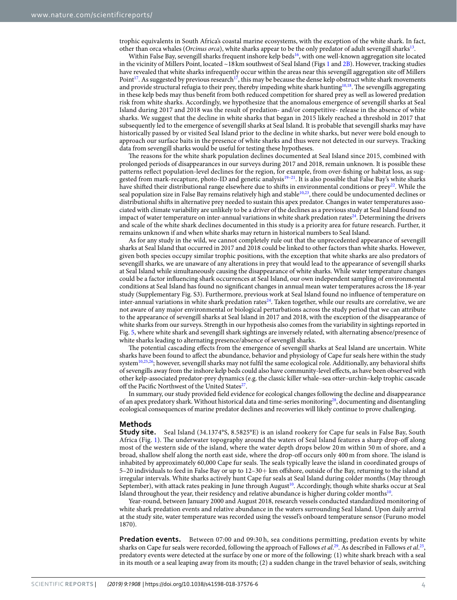trophic equivalents in South Africa's coastal marine ecosystems, with the exception of the white shark. In fact, other than orca whales (*Orcinus orca*), white sharks appear to be the only predator of adult sevengill sharks<sup>[13](#page-4-11)</sup>.

Within False Bay, sevengill sharks frequent inshore kelp beds<sup>[16](#page-4-12)</sup>, with one well-known aggregation site located in the vicinity of Millers Point, located ~18 km southwest of Seal Island (Figs [1](#page-1-0) and [2B](#page-1-1)). However, tracking studies have revealed that white sharks infrequently occur within the areas near this sevengill aggregation site off Millers Point<sup>[17](#page-4-13)</sup>. As suggested by previous research<sup>17</sup>, this may be because the dense kelp obstruct white shark movements and provide structural refugia to their prey, thereby impeding white shark hunting<sup>[10](#page-4-6),[18](#page-4-14)</sup>. The sevengills aggregating in these kelp beds may thus benefit from both reduced competition for shared prey as well as lowered predation risk from white sharks. Accordingly, we hypothesize that the anomalous emergence of sevengill sharks at Seal Island during 2017 and 2018 was the result of predation- and/or competitive- release in the absence of white sharks. We suggest that the decline in white sharks that began in 2015 likely reached a threshold in 2017 that subsequently led to the emergence of sevengill sharks at Seal Island. It is probable that sevengill sharks may have historically passed by or visited Seal Island prior to the decline in white sharks, but never were bold enough to approach our surface baits in the presence of white sharks and thus were not detected in our surveys. Tracking data from sevengill sharks would be useful for testing these hypotheses.

The reasons for the white shark population declines documented at Seal Island since 2015, combined with prolonged periods of disappearances in our surveys during 2017 and 2018, remain unknown. It is possible these patterns reflect population-level declines for the region, for example, from over-fishing or habitat loss, as suggested from mark-recapture, photo-ID and genetic analysis[19](#page-4-15)[–21](#page-4-16). It is also possible that False Bay's white sharks have shifted their distributional range elsewhere due to shifts in environmental conditions or prey<sup>[22](#page-4-17)</sup>. While the seal population size in False Bay remains relatively high and stable<sup>[10](#page-4-6)[,23](#page-5-0)</sup>, there could be undocumented declines or distributional shifts in alternative prey needed to sustain this apex predator. Changes in water temperatures associated with climate variability are unlikely to be a driver of the declines as a previous study at Seal Island found no impact of water temperature on inter-annual variations in white shark predation rates<sup>[24](#page-5-1)</sup>. Determining the drivers and scale of the white shark declines documented in this study is a priority area for future research. Further, it remains unknown if and when white sharks may return in historical numbers to Seal Island.

As for any study in the wild, we cannot completely rule out that the unprecedented appearance of sevengill sharks at Seal Island that occurred in 2017 and 2018 could be linked to other factors than white sharks. However, given both species occupy similar trophic positions, with the exception that white sharks are also predators of sevengill sharks, we are unaware of any alterations in prey that would lead to the appearance of sevengill sharks at Seal Island while simultaneously causing the disappearance of white sharks. While water temperature changes could be a factor influencing shark occurrences at Seal Island, our own independent sampling of environmental conditions at Seal Island has found no significant changes in annual mean water temperatures across the 18-year study (Supplementary Fig. S3). Furthermore, previous work at Seal Island found no influence of temperature on inter-annual variations in white shark predation rates<sup>[24](#page-5-1)</sup>. Taken together, while our results are correlative, we are not aware of any major environmental or biological perturbations across the study period that we can attribute to the appearance of sevengill sharks at Seal Island in 2017 and 2018, with the exception of the disappearance of white sharks from our surveys. Strength in our hypothesis also comes from the variability in sightings reported in Fig. [5](#page-2-2), where white shark and sevengill shark sightings are inversely related, with alternating absence/presence of white sharks leading to alternating presence/absence of sevengill sharks.

The potential cascading effects from the emergence of sevengill sharks at Seal Island are uncertain. White sharks have been found to affect the abundance, behavior and physiology of Cape fur seals here within the study system<sup>[10,](#page-4-6)[25,](#page-5-2)[26](#page-5-3)</sup>; however, sevengill sharks may not fulfil the same ecological role. Additionally, any behavioral shifts of sevengills away from the inshore kelp beds could also have community-level effects, as have been observed with other kelp-associated predator-prey dynamics (e.g. the classic killer whale–sea otter–urchin–kelp trophic cascade off the Pacific Northwest of the United States<sup>[27](#page-5-4)</sup>.

In summary, our study provided field evidence for ecological changes following the decline and disappearance of an apex predatory shark. Without historical data and time-series monitoring[28](#page-5-5), documenting and disentangling ecological consequences of marine predator declines and recoveries will likely continue to prove challenging.

#### **Methods**

**Study site.** Seal Island (34.1374°S, 8.5825°E) is an island rookery for Cape fur seals in False Bay, South Africa (Fig. [1](#page-1-0)). The underwater topography around the waters of Seal Island features a sharp drop-off along most of the western side of the island, where the water depth drops below 20 m within 50 m of shore, and a broad, shallow shelf along the north east side, where the drop-off occurs only 400 m from shore. The island is inhabited by approximately 60,000 Cape fur seals. The seals typically leave the island in coordinated groups of 5–20 individuals to feed in False Bay or up to 12–30+ km offshore, outside of the Bay, returning to the island at irregular intervals. White sharks actively hunt Cape fur seals at Seal Island during colder months (May through September), with attack rates peaking in June through August<sup>[10](#page-4-6)</sup>. Accordingly, though white sharks occur at Seal Island throughout the year, their residency and relative abundance is higher during colder months<sup>[10](#page-4-6)</sup>.

Year-round, between January 2000 and August 2018, research vessels conducted standardized monitoring of white shark predation events and relative abundance in the waters surrounding Seal Island. Upon daily arrival at the study site, water temperature was recorded using the vessel's onboard temperature sensor (Furuno model 1870).

**Predation events.** Between 07:00 and 09:30 h, sea conditions permitting, predation events by white sharks on Cape fur seals were recorded, following the approach of Fallows et al.<sup>[29](#page-5-6)</sup>. As described in Fallows et al.<sup>[25](#page-5-2)</sup>, predatory events were detected at the surface by one or more of the following: (1) white shark breach with a seal in its mouth or a seal leaping away from its mouth; (2) a sudden change in the travel behavior of seals, switching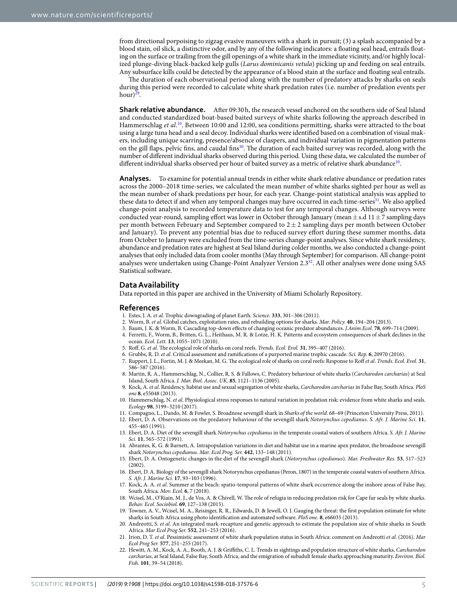from directional porpoising to zigzag evasive maneuvers with a shark in pursuit; (3) a splash accompanied by a blood stain, oil slick, a distinctive odor, and by any of the following indicators: a floating seal head, entrails floating on the surface or trailing from the gill openings of a white shark in the immediate vicinity, and/or highly localized plunge-diving black-backed kelp gulls (Larus dominicanis vetula) picking up and feeding on seal entrails. Any subsurface kills could be detected by the appearance of a blood stain at the surface and floating seal entrails.

The duration of each observational period along with the number of predatory attacks by sharks on seals during this period were recorded to calculate white shark predation rates (i.e. number of predation events per hour)<sup>[29](#page-5-6)</sup>.

**Shark relative abundance.** After 09:30 h, the research vessel anchored on the southern side of Seal Island and conducted standardized boat-based baited surveys of white sharks following the approach described in Hammerschlag et al.<sup>[10](#page-4-6)</sup>. Between 10:00 and 12:00, sea conditions permitting, sharks were attracted to the boat using a large tuna head and a seal decoy. Individual sharks were identified based on a combination of visual makers, including unique scarring, presence/absence of claspers, and individual variation in pigmentation patterns on the gill flaps, pelvic fins, and caudal fins<sup>[30](#page-5-7)</sup>. The duration of each baited survey was recorded, along with the number of different individual sharks observed during this period. Using these data, we calculated the number of different individual sharks observed per hour of baited survey as a metric of relative shark abundance $^{10}$  $^{10}$  $^{10}$ .

**Analyses.** To examine for potential annual trends in either white shark relative abundance or predation rates across the 2000–2018 time-series, we calculated the mean number of white sharks sighted per hour as well as the mean number of shark predations per hour, for each year. Change-point statistical analysis was applied to these data to detect if and when any temporal changes may have occurred in each time-series<sup>[31](#page-5-8)</sup>. We also applied change-point analysis to recorded temperature data to test for any temporal changes. Although surveys were conducted year-round, sampling effort was lower in October through January (mean  $\pm$  s.d 11  $\pm$  7 sampling days per month between February and September compared to  $2 \pm 2$  sampling days per month between October and January). To prevent any potential bias due to reduced survey effort during these summer months, data from October to January were excluded from the time-series change-point analyses. Since white shark residency, abundance and predation rates are highest at Seal Island during colder months, we also conducted a change-point analyses that only included data from cooler months (May through September) for comparison. All change-point analyses were undertaken using Change-Point Analyzer Version 2.3[32](#page-5-9). All other analyses were done using SAS Statistical software.

#### **Data Availability**

Data reported in this paper are archived in the University of Miami Scholarly Repository.

#### **References**

- <span id="page-4-0"></span>1. Estes, J. A. et al. Trophic downgrading of planet Earth. Science. **333**, 301–306 (2011).
- <span id="page-4-1"></span>2. Worm, B. et al. Global catches, exploitation rates, and rebuilding options for sharks. Mar. Policy. **40**, 194–204 (2013).
- <span id="page-4-2"></span>3. Baum, J. K. & Worm, B. Cascading top-down effects of changing oceanic predator abundances. J.Anim.Ecol. **78**, 699–714 (2009).
- 4. Ferretti, F., Worm, B., Britten, G. L., Heithaus, M. R. & Lotze, H. K. Patterns and ecosystem consequences of shark declines in the ocean. Ecol. Lett. **13**, 1055–1071 (2010).
- 5. Roff, G. et al. The ecological role of sharks on coral reefs. Trends. Ecol. Evol. **31**, 395–407 (2016).
- 6. Grubbs, R. D. et al. Critical assessment and ramifications of a purported marine trophic cascade. Sci. Rep. **6**, 20970 (2016).
- <span id="page-4-3"></span> 7. Ruppert, J. L., Fortin, M. J. & Meekan, M. G. The ecological role of sharks on coral reefs: Response to Roff et al. Trends. Ecol. Evol. **31**, 586–587 (2016).
- <span id="page-4-4"></span>8. Martin, R. A., Hammerschlag, N., Collier, R. S. & Fallows, C. Predatory behaviour of white sharks (Carcharodon carcharias) at Seal Island, South Africa. J. Mar. Biol. Assoc. UK. **85**, 1121–1136 (2005).
- <span id="page-4-5"></span>9. Kock, A. et al. Residency, habitat use and sexual segregation of white sharks, Carcharodon carcharias in False Bay, South Africa. PloS one **8**, e55048 (2013).
- <span id="page-4-6"></span> 10. Hammerschlag, N. et al. Physiological stress responses to natural variation in predation risk: evidence from white sharks and seals. Ecology **98**, 3199–3210 (2017).
- <span id="page-4-7"></span>11. Compagno, L., Dando, M. & Fowler, S. Broadnose sevengill shark in Sharks of the world. 68–69 (Princeton University Press, 2011).
- <span id="page-4-8"></span> 12. Ebert, D. A. Observations on the predatory behaviour of the sevengill shark Notorynchus cepedianus. S. Afr. J. Marine Sci. **11**, 455–465 (1991).
- <span id="page-4-11"></span>13. Ebert, D. A. Diet of the sevengill shark Notorynchus cepedianus in the temperate coastal waters of southern Africa. S. Afr. J. Marine Sci. **11**, 565–572 (1991).
- <span id="page-4-10"></span> 14. Abrantes, K. G. & Barnett, A. Intrapopulation variations in diet and habitat use in a marine apex predator, the broadnose sevengill shark Notorynchus cepedianus. Mar. Ecol.Prog. Ser. **442**, 133–148 (2011).
- <span id="page-4-9"></span> 15. Ebert, D. A. Ontogenetic changes in the diet of the sevengill shark (Notorynchus cepedianus). Mar. Freshwater Res. **53**, 517–523 (2002).
- <span id="page-4-12"></span> 16. Ebert, D. A. Biology of the sevengill shark Notorynchus cepedianus (Peron, 1807) in the temperate coastal waters of southern Africa. S. Afr. J. Marine Sci. **17**, 93–103 (1996).
- <span id="page-4-13"></span>17. Kock, A. A. et al. Summer at the beach: spatio-temporal patterns of white shark occurrence along the inshore areas of False Bay, South Africa. Mov. Ecol. **6**, 7 (2018).
- <span id="page-4-14"></span> 18. Wcisel, M., O'Riain, M. J., de Vos, A. & Chivell, W. The role of refugia in reducing predation risk for Cape fur seals by white sharks. Behav. Ecol. Sociobiol. **69**, 127–138 (2015).
- <span id="page-4-15"></span> 19. Towner, A. V., Wcisel, M. A., Reisinger, R. R., Edwards, D. & Jewell, O. J. Gauging the threat: the first population estimate for white sharks in South Africa using photo identification and automated software. PloS one. **8**, e66035 (2013).
- 20. Andreotti, S. et al. An integrated mark-recapture and genetic approach to estimate the population size of white sharks in South Africa. Mar Ecol Prog Ser. **552**, 241–253 (2016).
- <span id="page-4-16"></span>21. Irion, D. T. et al. Pessimistic assessment of white shark population status in South Africa: comment on Andreotti et al. (2016). Mar Ecol Prog Ser. **577**, 251–255 (2017).
- <span id="page-4-17"></span>22. Hewitt, A. M., Kock, A. A., Booth, A. J. & Griffiths, C. L. Trends in sightings and population structure of white sharks, Carcharodon carcharias, at Seal Island, False Bay, South Africa, and the emigration of subadult female sharks approaching maturity. Environ. Biol. Fish. **101**, 39–54 (2018).